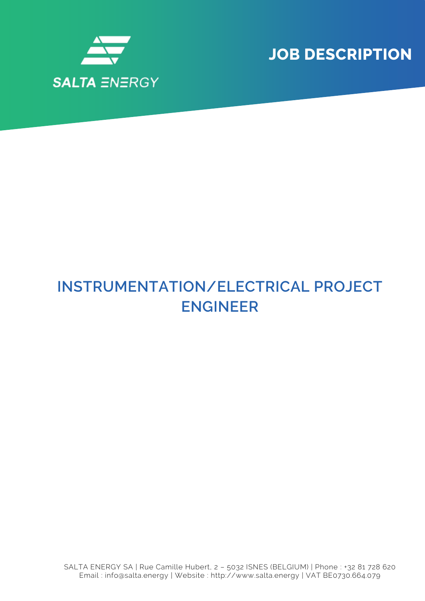

**JOB DESCRIPTION**

## **INSTRUMENTATION/ELECTRICAL PROJECT ENGINEER**

SALTA ENERGY SA | Rue Camille Hubert, 2 – 5032 ISNES (BELGIUM) | Phone : +32 81 728 620 Email : info@salta.energy | Website : http://www.salta.energy | VAT BE0730.664.079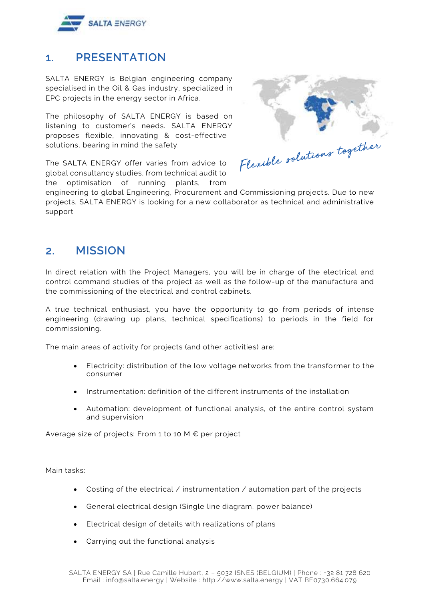

## **1. PRESENTATION**

SALTA ENERGY is Belgian engineering company specialised in the Oil & Gas industry, specialized in EPC projects in the energy sector in Africa.

The philosophy of SALTA ENERGY is based on listening to customer's needs. SALTA ENERGY proposes flexible, innovating & cost-effective solutions, bearing in mind the safety.

The SALTA ENERGY offer varies from advice to global consultancy studies, from technical audit to the optimisation of running plants, from



engineering to global Engineering, Procurement and Commissioning projects. Due to new projects, SALTA ENERGY is looking for a new collaborator as technical and administrative support

## **2. MISSION**

In direct relation with the Project Managers, you will be in charge of the electrical and control command studies of the project as well as the follow-up of the manufacture and the commissioning of the electrical and control cabinets.

A true technical enthusiast, you have the opportunity to go from periods of intense engineering (drawing up plans, technical specifications) to periods in the field for commissioning.

The main areas of activity for projects (and other activities) are:

- Electricity: distribution of the low voltage networks from the transformer to the consumer
- Instrumentation: definition of the different instruments of the installation
- Automation: development of functional analysis, of the entire control system and supervision

Average size of projects: From 1 to 10 M € per project

Main tasks:

- Costing of the electrical  $\ell$  instrumentation  $\ell$  automation part of the projects
- General electrical design (Single line diagram, power balance)
- Electrical design of details with realizations of plans
- Carrying out the functional analysis